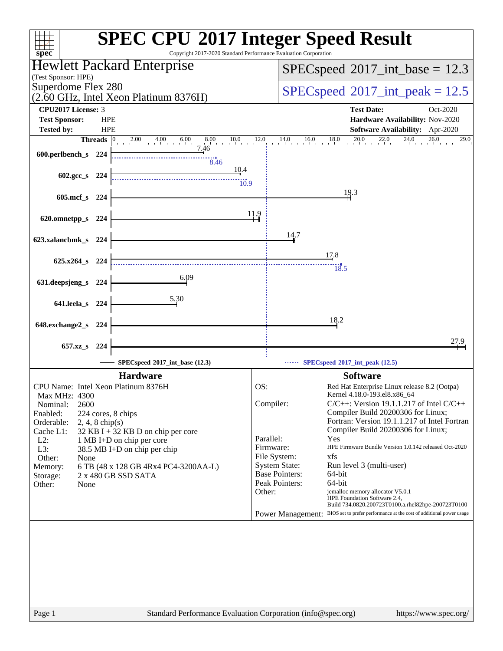| $spec^*$                                                                                            | <b>SPEC CPU®2017 Integer Speed Result</b><br>Copyright 2017-2020 Standard Performance Evaluation Corporation                                 |
|-----------------------------------------------------------------------------------------------------|----------------------------------------------------------------------------------------------------------------------------------------------|
| Hewlett Packard Enterprise                                                                          | $SPEC speed^{\circ}2017\_int\_base = 12.3$                                                                                                   |
| (Test Sponsor: HPE)                                                                                 |                                                                                                                                              |
| Superdome Flex 280<br>(2.60 GHz, Intel Xeon Platinum 8376H)                                         | $SPEC speed^{\circ}2017\_int\_peak = 12.5$                                                                                                   |
| <b>CPU2017 License: 3</b>                                                                           | <b>Test Date:</b><br>Oct-2020                                                                                                                |
| <b>HPE</b><br><b>Test Sponsor:</b>                                                                  | Hardware Availability: Nov-2020                                                                                                              |
| <b>Tested by:</b><br><b>HPE</b><br>$2.00 \t 4.00 \t 6.00 \t 8.00 \t 10.0 \t 12.0$<br><b>Threads</b> | Software Availability: Apr-2020<br>$14.0$ $16.0$ $18.0$ $20.0$ $22.0$ $24.0$ $26.0$<br>29.0                                                  |
| 7.46<br>600.perlbench_s 224                                                                         |                                                                                                                                              |
| 8.46                                                                                                |                                                                                                                                              |
| 10.4<br>602.gcc_s 224                                                                               |                                                                                                                                              |
| 10.9                                                                                                | 19.3                                                                                                                                         |
| $605$ .mcf_s<br>- 224                                                                               |                                                                                                                                              |
| 620.omnetpp_s 224                                                                                   | 11.9                                                                                                                                         |
|                                                                                                     | 14.7                                                                                                                                         |
| 623.xalancbmk_s 224                                                                                 |                                                                                                                                              |
| $625.x264$ s 224                                                                                    | 17.8                                                                                                                                         |
| 6.09                                                                                                | $\frac{13.5}{18.5}$                                                                                                                          |
| 631.deepsjeng_s<br>224                                                                              |                                                                                                                                              |
| 5.30<br>641.leela_s<br>224                                                                          |                                                                                                                                              |
|                                                                                                     |                                                                                                                                              |
| 648.exchange2_s<br>- 224                                                                            | 18.2                                                                                                                                         |
|                                                                                                     | 27.9                                                                                                                                         |
| 657.xz_s 224                                                                                        |                                                                                                                                              |
| SPECspeed®2017_int_base (12.3)                                                                      | $\cdots$ SPECspeed <sup>®</sup> 2017_int_peak (12.5)                                                                                         |
| <b>Hardware</b><br>CPU Name: Intel Xeon Platinum 8376H                                              | <b>Software</b><br>OS:<br>Red Hat Enterprise Linux release 8.2 (Ootpa)                                                                       |
| Max MHz: 4300                                                                                       | Kernel 4.18.0-193.el8.x86 64                                                                                                                 |
| 2600<br>Nominal:<br>Enabled:<br>224 cores, 8 chips                                                  | Compiler:<br>$C/C++$ : Version 19.1.1.217 of Intel $C/C++$<br>Compiler Build 20200306 for Linux;                                             |
| Orderable:<br>$2, 4, 8$ chip(s)                                                                     | Fortran: Version 19.1.1.217 of Intel Fortran                                                                                                 |
| Cache L1:<br>32 KB I + 32 KB D on chip per core<br>$L2$ :<br>1 MB I+D on chip per core              | Compiler Build 20200306 for Linux;<br>Parallel:<br>Yes                                                                                       |
| L3:<br>38.5 MB I+D on chip per chip                                                                 | Firmware:<br>HPE Firmware Bundle Version 1.0.142 released Oct-2020                                                                           |
| Other:<br>None                                                                                      | File System:<br>xfs                                                                                                                          |
| 6 TB (48 x 128 GB 4Rx4 PC4-3200AA-L)<br>Memory:<br>2 x 480 GB SSD SATA<br>Storage:                  | <b>System State:</b><br>Run level 3 (multi-user)<br><b>Base Pointers:</b><br>64-bit                                                          |
| Other:<br>None                                                                                      | Peak Pointers:<br>64-bit                                                                                                                     |
|                                                                                                     | jemalloc memory allocator V5.0.1<br>Other:<br>HPE Foundation Software 2.4,                                                                   |
|                                                                                                     | Build 734.0820.200723T0100.a.rhel82hpe-200723T0100<br>Power Management: BIOS set to prefer performance at the cost of additional power usage |
|                                                                                                     |                                                                                                                                              |
|                                                                                                     |                                                                                                                                              |
|                                                                                                     |                                                                                                                                              |
|                                                                                                     |                                                                                                                                              |
|                                                                                                     |                                                                                                                                              |
|                                                                                                     |                                                                                                                                              |
|                                                                                                     |                                                                                                                                              |
| Page 1                                                                                              | Standard Performance Evaluation Corporation (info@spec.org)<br>https://www.spec.org/                                                         |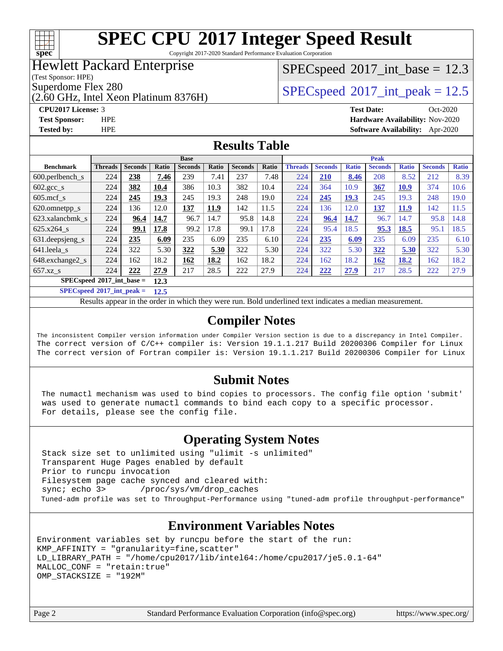

Copyright 2017-2020 Standard Performance Evaluation Corporation

## Hewlett Packard Enterprise

(Test Sponsor: HPE)

(2.60 GHz, Intel Xeon Platinum 8376H)

### $SPECspeed^{\circ}2017\_int\_base = 12.3$  $SPECspeed^{\circ}2017\_int\_base = 12.3$

Superdome Flex 280<br>  $SPECspeed^{\circ}2017$  $SPECspeed^{\circ}2017$  int\_peak = 12.5

**[CPU2017 License:](http://www.spec.org/auto/cpu2017/Docs/result-fields.html#CPU2017License)** 3 **[Test Date:](http://www.spec.org/auto/cpu2017/Docs/result-fields.html#TestDate)** Oct-2020 **[Test Sponsor:](http://www.spec.org/auto/cpu2017/Docs/result-fields.html#TestSponsor)** HPE **[Hardware Availability:](http://www.spec.org/auto/cpu2017/Docs/result-fields.html#HardwareAvailability)** Nov-2020 **[Tested by:](http://www.spec.org/auto/cpu2017/Docs/result-fields.html#Testedby)** HPE **[Software Availability:](http://www.spec.org/auto/cpu2017/Docs/result-fields.html#SoftwareAvailability)** Apr-2020

### **[Results Table](http://www.spec.org/auto/cpu2017/Docs/result-fields.html#ResultsTable)**

|                                               | <b>Base</b>    |                |       |                |       | <b>Peak</b>    |       |                |                |              |                |              |                |              |
|-----------------------------------------------|----------------|----------------|-------|----------------|-------|----------------|-------|----------------|----------------|--------------|----------------|--------------|----------------|--------------|
| <b>Benchmark</b>                              | <b>Threads</b> | <b>Seconds</b> | Ratio | <b>Seconds</b> | Ratio | <b>Seconds</b> | Ratio | <b>Threads</b> | <b>Seconds</b> | <b>Ratio</b> | <b>Seconds</b> | <b>Ratio</b> | <b>Seconds</b> | <b>Ratio</b> |
| 600.perlbench s                               | 224            | 238            | 7.46  | 239            | 7.41  | 237            | 7.48  | 224            | 210            | 8.46         | 208            | 8.52         | 212            | 8.39         |
| $602.\text{gcc}\_\text{s}$                    | 224            | 382            | 10.4  | 386            | 10.3  | 382            | 10.4  | 224            | 364            | 10.9         | 367            | <b>10.9</b>  | 374            | 10.6         |
| $605$ .mcf s                                  | 224            | 245            | 19.3  | 245            | 19.3  | 248            | 19.0  | 224            | 245            | 19.3         | 245            | 19.3         | 248            | 19.0         |
| 620.omnetpp_s                                 | 224            | 136            | 12.0  | 137            | 11.9  | 142            | 11.5  | 224            | 136            | 12.0         | <u>137</u>     | <b>11.9</b>  | 142            | 11.5         |
| 623.xalancbmk s                               | 224            | 96.4           | 14.7  | 96.7           | 14.7  | 95.8           | 14.8  | 224            | 96.4           | 14.7         | 96.7           | 14.7         | 95.8           | 14.8         |
| 625.x264 s                                    | 224            | 99.1           | 17.8  | 99.2           | 17.8  | 99.1           | 17.8  | 224            | 95.4           | 18.5         | 95.3           | 18.5         | 95.1           | 18.5         |
| $631.$ deepsjeng $s$                          | 224            | 235            | 6.09  | 235            | 6.09  | 235            | 6.10  | 224            | 235            | 6.09         | 235            | 6.09         | 235            | 6.10         |
| 641.leela s                                   | 224            | 322            | 5.30  | 322            | 5.30  | 322            | 5.30  | 224            | 322            | 5.30         | 322            | 5.30         | 322            | 5.30         |
| 648.exchange2 s                               | 224            | 162            | 18.2  | 162            | 18.2  | 162            | 18.2  | 224            | 162            | 18.2         | 162            | 18.2         | 162            | 18.2         |
| $657.xz$ s                                    | 224            | 222            | 27.9  | 217            | 28.5  | 222            | 27.9  | 224            | 222            | 27.9         | 217            | 28.5         | 222            | 27.9         |
| $SPEC speed^{\circ}2017\_int\_base =$<br>12.3 |                |                |       |                |       |                |       |                |                |              |                |              |                |              |

**[SPECspeed](http://www.spec.org/auto/cpu2017/Docs/result-fields.html#SPECspeed2017intpeak)[2017\\_int\\_peak =](http://www.spec.org/auto/cpu2017/Docs/result-fields.html#SPECspeed2017intpeak) 12.5**

Results appear in the [order in which they were run.](http://www.spec.org/auto/cpu2017/Docs/result-fields.html#RunOrder) Bold underlined text [indicates a median measurement](http://www.spec.org/auto/cpu2017/Docs/result-fields.html#Median).

### **[Compiler Notes](http://www.spec.org/auto/cpu2017/Docs/result-fields.html#CompilerNotes)**

The inconsistent Compiler version information under Compiler Version section is due to a discrepancy in Intel Compiler. The correct version of C/C++ compiler is: Version 19.1.1.217 Build 20200306 Compiler for Linux The correct version of Fortran compiler is: Version 19.1.1.217 Build 20200306 Compiler for Linux

### **[Submit Notes](http://www.spec.org/auto/cpu2017/Docs/result-fields.html#SubmitNotes)**

 The numactl mechanism was used to bind copies to processors. The config file option 'submit' was used to generate numactl commands to bind each copy to a specific processor. For details, please see the config file.

### **[Operating System Notes](http://www.spec.org/auto/cpu2017/Docs/result-fields.html#OperatingSystemNotes)**

 Stack size set to unlimited using "ulimit -s unlimited" Transparent Huge Pages enabled by default Prior to runcpu invocation Filesystem page cache synced and cleared with: sync; echo 3> /proc/sys/vm/drop\_caches Tuned-adm profile was set to Throughput-Performance using "tuned-adm profile throughput-performance"

## **[Environment Variables Notes](http://www.spec.org/auto/cpu2017/Docs/result-fields.html#EnvironmentVariablesNotes)**

```
Environment variables set by runcpu before the start of the run:
KMP_AFFINITY = "granularity=fine,scatter"
LD_LIBRARY_PATH = "/home/cpu2017/lib/intel64:/home/cpu2017/je5.0.1-64"
MALLOC_CONF = "retain:true"
OMP_STACKSIZE = "192M"
```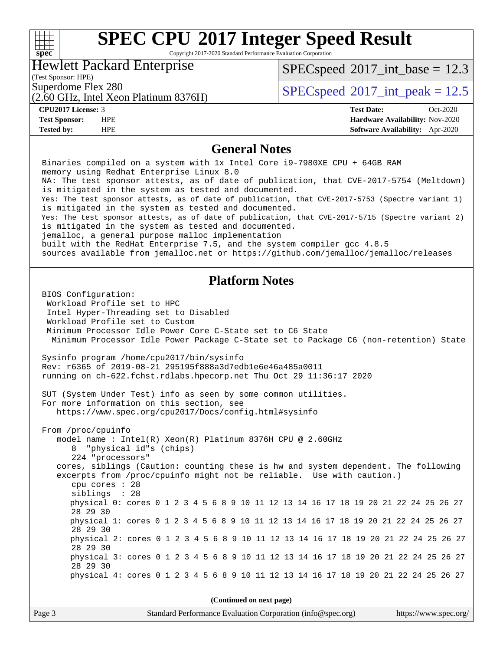## **[SPEC CPU](http://www.spec.org/auto/cpu2017/Docs/result-fields.html#SPECCPU2017IntegerSpeedResult)[2017 Integer Speed Result](http://www.spec.org/auto/cpu2017/Docs/result-fields.html#SPECCPU2017IntegerSpeedResult)** Copyright 2017-2020 Standard Performance Evaluation Corporation Hewlett Packard Enterprise

(2.60 GHz, Intel Xeon Platinum 8376H)

 $SPECspeed^{\circledcirc}2017\_int\_base = 12.3$  $SPECspeed^{\circledcirc}2017\_int\_base = 12.3$ 

(Test Sponsor: HPE)

Superdome Flex 280<br>  $SPECspeed*2017$  $SPECspeed*2017$ \_int\_peak = 12.5

**[spec](http://www.spec.org/)**

 $\pm$ 

**[CPU2017 License:](http://www.spec.org/auto/cpu2017/Docs/result-fields.html#CPU2017License)** 3 **[Test Date:](http://www.spec.org/auto/cpu2017/Docs/result-fields.html#TestDate)** Oct-2020 **[Test Sponsor:](http://www.spec.org/auto/cpu2017/Docs/result-fields.html#TestSponsor)** HPE **[Hardware Availability:](http://www.spec.org/auto/cpu2017/Docs/result-fields.html#HardwareAvailability)** Nov-2020 **[Tested by:](http://www.spec.org/auto/cpu2017/Docs/result-fields.html#Testedby)** HPE **[Software Availability:](http://www.spec.org/auto/cpu2017/Docs/result-fields.html#SoftwareAvailability)** Apr-2020

### **[General Notes](http://www.spec.org/auto/cpu2017/Docs/result-fields.html#GeneralNotes)**

 Binaries compiled on a system with 1x Intel Core i9-7980XE CPU + 64GB RAM memory using Redhat Enterprise Linux 8.0 NA: The test sponsor attests, as of date of publication, that CVE-2017-5754 (Meltdown) is mitigated in the system as tested and documented. Yes: The test sponsor attests, as of date of publication, that CVE-2017-5753 (Spectre variant 1) is mitigated in the system as tested and documented. Yes: The test sponsor attests, as of date of publication, that CVE-2017-5715 (Spectre variant 2) is mitigated in the system as tested and documented. jemalloc, a general purpose malloc implementation built with the RedHat Enterprise 7.5, and the system compiler gcc 4.8.5 sources available from jemalloc.net or<https://github.com/jemalloc/jemalloc/releases> **[Platform Notes](http://www.spec.org/auto/cpu2017/Docs/result-fields.html#PlatformNotes)** BIOS Configuration: Workload Profile set to HPC Intel Hyper-Threading set to Disabled Workload Profile set to Custom Minimum Processor Idle Power Core C-State set to C6 State Minimum Processor Idle Power Package C-State set to Package C6 (non-retention) State Sysinfo program /home/cpu2017/bin/sysinfo Rev: r6365 of 2019-08-21 295195f888a3d7edb1e6e46a485a0011 running on ch-622.fchst.rdlabs.hpecorp.net Thu Oct 29 11:36:17 2020 SUT (System Under Test) info as seen by some common utilities. For more information on this section, see <https://www.spec.org/cpu2017/Docs/config.html#sysinfo> From /proc/cpuinfo model name : Intel(R) Xeon(R) Platinum 8376H CPU @ 2.60GHz 8 "physical id"s (chips) 224 "processors" cores, siblings (Caution: counting these is hw and system dependent. The following excerpts from /proc/cpuinfo might not be reliable. Use with caution.) cpu cores : 28 siblings : 28 physical 0: cores 0 1 2 3 4 5 6 8 9 10 11 12 13 14 16 17 18 19 20 21 22 24 25 26 27 28 29 30 physical 1: cores 0 1 2 3 4 5 6 8 9 10 11 12 13 14 16 17 18 19 20 21 22 24 25 26 27 28 29 30 physical 2: cores 0 1 2 3 4 5 6 8 9 10 11 12 13 14 16 17 18 19 20 21 22 24 25 26 27 28 29 30 physical 3: cores 0 1 2 3 4 5 6 8 9 10 11 12 13 14 16 17 18 19 20 21 22 24 25 26 27 28 29 30 physical 4: cores 0 1 2 3 4 5 6 8 9 10 11 12 13 14 16 17 18 19 20 21 22 24 25 26 27 **(Continued on next page)**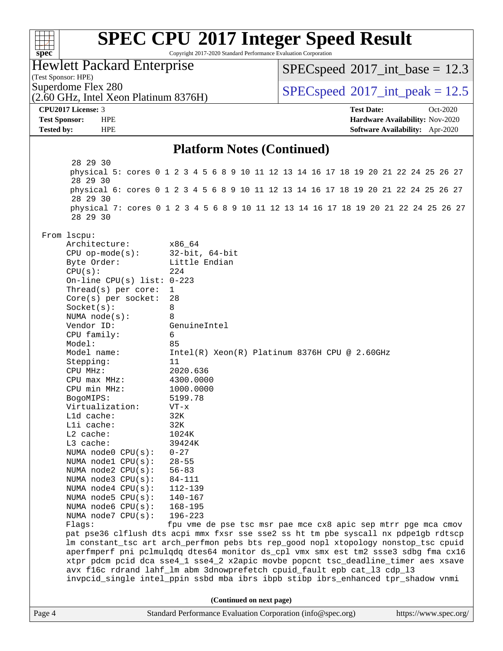| spec <sup>®</sup>                                        | <b>SPEC CPU®2017 Integer Speed Result</b><br>Copyright 2017-2020 Standard Performance Evaluation Corporation                                                            |                                                               |                                 |
|----------------------------------------------------------|-------------------------------------------------------------------------------------------------------------------------------------------------------------------------|---------------------------------------------------------------|---------------------------------|
| <b>Hewlett Packard Enterprise</b><br>(Test Sponsor: HPE) |                                                                                                                                                                         | $SPEC speed^{\circ}2017\_int\_base = 12.3$                    |                                 |
| Superdome Flex 280                                       |                                                                                                                                                                         |                                                               |                                 |
| (2.60 GHz, Intel Xeon Platinum 8376H)                    |                                                                                                                                                                         | $SPEC speed^{\circ}2017\_int\_peak = 12.5$                    |                                 |
| CPU2017 License: 3                                       |                                                                                                                                                                         | <b>Test Date:</b>                                             | Oct-2020                        |
| <b>Test Sponsor:</b><br><b>HPE</b>                       |                                                                                                                                                                         |                                                               | Hardware Availability: Nov-2020 |
| <b>HPE</b><br><b>Tested by:</b>                          |                                                                                                                                                                         |                                                               | Software Availability: Apr-2020 |
|                                                          | <b>Platform Notes (Continued)</b>                                                                                                                                       |                                                               |                                 |
| 28 29 30                                                 |                                                                                                                                                                         |                                                               |                                 |
| 28 29 30                                                 | physical 5: cores 0 1 2 3 4 5 6 8 9 10 11 12 13 14 16 17 18 19 20 21 22 24 25 26 27                                                                                     |                                                               |                                 |
| 28 29 30                                                 | physical 6: cores 0 1 2 3 4 5 6 8 9 10 11 12 13 14 16 17 18 19 20 21 22 24 25 26 27                                                                                     |                                                               |                                 |
| 28 29 30                                                 | physical 7: cores 0 1 2 3 4 5 6 8 9 10 11 12 13 14 16 17 18 19 20 21 22 24 25 26 27                                                                                     |                                                               |                                 |
| From lscpu:                                              |                                                                                                                                                                         |                                                               |                                 |
| Architecture:                                            | x86_64                                                                                                                                                                  |                                                               |                                 |
| $CPU$ op-mode( $s$ ):                                    | $32$ -bit, $64$ -bit                                                                                                                                                    |                                                               |                                 |
| Byte Order:<br>CPU(s):                                   | Little Endian<br>224                                                                                                                                                    |                                                               |                                 |
| On-line CPU(s) list: $0-223$                             |                                                                                                                                                                         |                                                               |                                 |
| Thread( $s$ ) per core:                                  | 1                                                                                                                                                                       |                                                               |                                 |
| $Core(s)$ per socket:                                    | 28                                                                                                                                                                      |                                                               |                                 |
| Socket(s):                                               | 8                                                                                                                                                                       |                                                               |                                 |
| NUMA $node(s)$ :                                         | 8                                                                                                                                                                       |                                                               |                                 |
| Vendor ID:                                               | GenuineIntel                                                                                                                                                            |                                                               |                                 |
| CPU family:<br>Model:                                    | 6<br>85                                                                                                                                                                 |                                                               |                                 |
| Model name:                                              |                                                                                                                                                                         | $Intel(R) Xeon(R) Platinum 8376H CPU @ 2.60GHz$               |                                 |
| Stepping:                                                | 11                                                                                                                                                                      |                                                               |                                 |
| CPU MHz:                                                 | 2020.636                                                                                                                                                                |                                                               |                                 |
| $CPU$ max $MHz$ :                                        | 4300.0000                                                                                                                                                               |                                                               |                                 |
| CPU min MHz:                                             | 1000.0000                                                                                                                                                               |                                                               |                                 |
| BogoMIPS:                                                | 5199.78                                                                                                                                                                 |                                                               |                                 |
| Virtualization:                                          | VT-x                                                                                                                                                                    |                                                               |                                 |
| Lld cache:<br>Lli cache:                                 | 32K<br>32K                                                                                                                                                              |                                                               |                                 |
| $L2$ cache:                                              | 1024K                                                                                                                                                                   |                                                               |                                 |
| L3 cache:                                                | 39424K                                                                                                                                                                  |                                                               |                                 |
| NUMA node0 CPU(s):                                       | $0 - 27$                                                                                                                                                                |                                                               |                                 |
| NUMA nodel CPU(s):                                       | $28 - 55$                                                                                                                                                               |                                                               |                                 |
| NUMA node2 CPU(s):                                       | $56 - 83$                                                                                                                                                               |                                                               |                                 |
| NUMA node3 CPU(s):                                       | 84-111                                                                                                                                                                  |                                                               |                                 |
| NUMA $node4$ CPU $(s)$ :                                 | 112-139                                                                                                                                                                 |                                                               |                                 |
| NUMA node5 CPU(s):                                       | $140 - 167$                                                                                                                                                             |                                                               |                                 |
| NUMA node6 $CPU(s):$<br>NUMA node7 CPU(s):               | $168 - 195$<br>$196 - 223$                                                                                                                                              |                                                               |                                 |
| Flags:                                                   |                                                                                                                                                                         | fpu vme de pse tsc msr pae mce cx8 apic sep mtrr pge mca cmov |                                 |
|                                                          | pat pse36 clflush dts acpi mmx fxsr sse sse2 ss ht tm pbe syscall nx pdpelgb rdtscp                                                                                     |                                                               |                                 |
|                                                          | lm constant_tsc art arch_perfmon pebs bts rep_good nopl xtopology nonstop_tsc cpuid                                                                                     |                                                               |                                 |
|                                                          | aperfmperf pni pclmulqdq dtes64 monitor ds_cpl vmx smx est tm2 ssse3 sdbg fma cx16<br>xtpr pdcm pcid dca sse4_1 sse4_2 x2apic movbe popcnt tsc_deadline_timer aes xsave |                                                               |                                 |
|                                                          | avx f16c rdrand lahf_lm abm 3dnowprefetch cpuid_fault epb cat_13 cdp_13<br>invpcid_single intel_ppin ssbd mba ibrs ibpb stibp ibrs_enhanced tpr_shadow vnmi             |                                                               |                                 |
|                                                          | (Continued on next page)                                                                                                                                                |                                                               |                                 |
| Page 4                                                   | Standard Performance Evaluation Corporation (info@spec.org)                                                                                                             |                                                               | https://www.spec.org/           |
|                                                          |                                                                                                                                                                         |                                                               |                                 |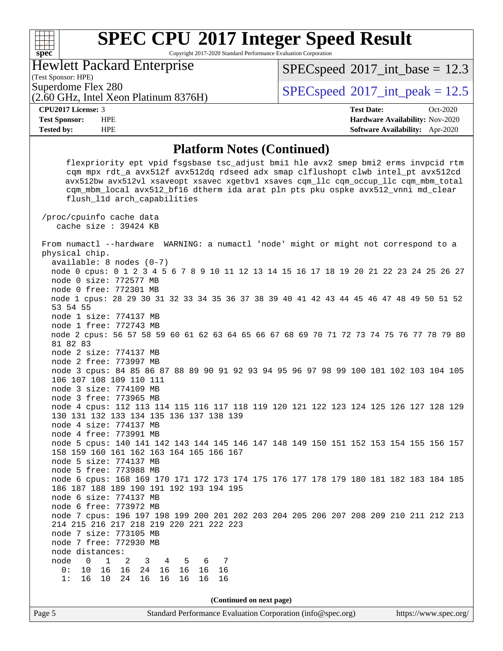Copyright 2017-2020 Standard Performance Evaluation Corporation

Hewlett Packard Enterprise

(2.60 GHz, Intel Xeon Platinum 8376H)

 $SPECspeed^{\circ}2017\_int\_base = 12.3$  $SPECspeed^{\circ}2017\_int\_base = 12.3$ 

(Test Sponsor: HPE)

**[spec](http://www.spec.org/)**

 $\begin{matrix} & \ + \ + \end{matrix}$ 

Superdome Flex 280  $SPEC speed^{\circ}2017$ \_int\_peak = 12.5

**[Tested by:](http://www.spec.org/auto/cpu2017/Docs/result-fields.html#Testedby)** HPE **[Software Availability:](http://www.spec.org/auto/cpu2017/Docs/result-fields.html#SoftwareAvailability)** Apr-2020

**[CPU2017 License:](http://www.spec.org/auto/cpu2017/Docs/result-fields.html#CPU2017License)** 3 **[Test Date:](http://www.spec.org/auto/cpu2017/Docs/result-fields.html#TestDate)** Oct-2020 **[Test Sponsor:](http://www.spec.org/auto/cpu2017/Docs/result-fields.html#TestSponsor)** HPE **[Hardware Availability:](http://www.spec.org/auto/cpu2017/Docs/result-fields.html#HardwareAvailability)** Nov-2020

### **[Platform Notes \(Continued\)](http://www.spec.org/auto/cpu2017/Docs/result-fields.html#PlatformNotes)**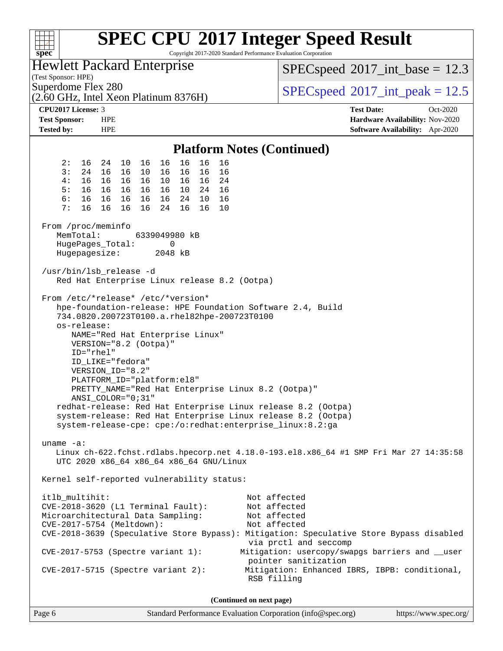| <u>TTT</u><br>spec <sup>®</sup>                                       |                                                                                                                                                                                                                                                                                                                                                                                                                                                                                                                          | <b>SPEC CPU®2017 Integer Speed Result</b><br>Copyright 2017-2020 Standard Performance Evaluation Corporation                                                                                                                                                                                                                |  |  |  |  |
|-----------------------------------------------------------------------|--------------------------------------------------------------------------------------------------------------------------------------------------------------------------------------------------------------------------------------------------------------------------------------------------------------------------------------------------------------------------------------------------------------------------------------------------------------------------------------------------------------------------|-----------------------------------------------------------------------------------------------------------------------------------------------------------------------------------------------------------------------------------------------------------------------------------------------------------------------------|--|--|--|--|
| (Test Sponsor: HPE)                                                   | <b>Hewlett Packard Enterprise</b>                                                                                                                                                                                                                                                                                                                                                                                                                                                                                        | $SPEC speed^{\circ}2017\_int\_base = 12.3$                                                                                                                                                                                                                                                                                  |  |  |  |  |
| Superdome Flex 280                                                    | (2.60 GHz, Intel Xeon Platinum 8376H)                                                                                                                                                                                                                                                                                                                                                                                                                                                                                    | $SPEC speed^{\circ}2017\_int\_peak = 12.5$                                                                                                                                                                                                                                                                                  |  |  |  |  |
| CPU2017 License: 3                                                    |                                                                                                                                                                                                                                                                                                                                                                                                                                                                                                                          | <b>Test Date:</b><br>Oct-2020                                                                                                                                                                                                                                                                                               |  |  |  |  |
| <b>Test Sponsor:</b><br><b>HPE</b><br><b>Tested by:</b><br><b>HPE</b> |                                                                                                                                                                                                                                                                                                                                                                                                                                                                                                                          | Hardware Availability: Nov-2020<br>Software Availability: Apr-2020                                                                                                                                                                                                                                                          |  |  |  |  |
|                                                                       |                                                                                                                                                                                                                                                                                                                                                                                                                                                                                                                          |                                                                                                                                                                                                                                                                                                                             |  |  |  |  |
|                                                                       |                                                                                                                                                                                                                                                                                                                                                                                                                                                                                                                          | <b>Platform Notes (Continued)</b>                                                                                                                                                                                                                                                                                           |  |  |  |  |
| 2:<br>16<br>24                                                        | 16<br>16<br>10<br>16<br>16<br>16                                                                                                                                                                                                                                                                                                                                                                                                                                                                                         |                                                                                                                                                                                                                                                                                                                             |  |  |  |  |
| 3:<br>16<br>24<br>4 :<br>16<br>16                                     | 16<br>16 10<br>16<br>16<br>16<br>16 16 10<br>16 16 24                                                                                                                                                                                                                                                                                                                                                                                                                                                                    |                                                                                                                                                                                                                                                                                                                             |  |  |  |  |
| 5:<br>16<br>16                                                        | 10 24 16<br>16 16<br>16                                                                                                                                                                                                                                                                                                                                                                                                                                                                                                  |                                                                                                                                                                                                                                                                                                                             |  |  |  |  |
| 6:<br>16<br>16                                                        | 24 10<br>16<br>16 16<br>16                                                                                                                                                                                                                                                                                                                                                                                                                                                                                               |                                                                                                                                                                                                                                                                                                                             |  |  |  |  |
| 7:<br>16<br>16                                                        | 16<br>16<br>10<br>16<br>24<br>16                                                                                                                                                                                                                                                                                                                                                                                                                                                                                         |                                                                                                                                                                                                                                                                                                                             |  |  |  |  |
| From /proc/meminfo<br>MemTotal:<br>HugePages_Total:                   | 6339049980 kB<br>0                                                                                                                                                                                                                                                                                                                                                                                                                                                                                                       |                                                                                                                                                                                                                                                                                                                             |  |  |  |  |
| Hugepagesize:                                                         | 2048 kB                                                                                                                                                                                                                                                                                                                                                                                                                                                                                                                  |                                                                                                                                                                                                                                                                                                                             |  |  |  |  |
| /usr/bin/lsb_release -d                                               | Red Hat Enterprise Linux release 8.2 (Ootpa)                                                                                                                                                                                                                                                                                                                                                                                                                                                                             |                                                                                                                                                                                                                                                                                                                             |  |  |  |  |
| os-release:<br>ID="rhel"<br>ID LIKE="fedora"<br>VERSION_ID="8.2"      | From /etc/*release* /etc/*version*<br>hpe-foundation-release: HPE Foundation Software 2.4, Build<br>734.0820.200723T0100.a.rhel82hpe-200723T0100<br>NAME="Red Hat Enterprise Linux"<br>VERSION="8.2 (Ootpa)"<br>PLATFORM_ID="platform:el8"<br>PRETTY_NAME="Red Hat Enterprise Linux 8.2 (Ootpa)"<br>$ANSI\_COLOR = "0; 31"$<br>redhat-release: Red Hat Enterprise Linux release 8.2 (Ootpa)<br>system-release: Red Hat Enterprise Linux release 8.2 (Ootpa)<br>system-release-cpe: cpe:/o:redhat:enterprise_linux:8.2:ga |                                                                                                                                                                                                                                                                                                                             |  |  |  |  |
| uname $-a$ :                                                          | UTC 2020 x86_64 x86_64 x86_64 GNU/Linux                                                                                                                                                                                                                                                                                                                                                                                                                                                                                  | Linux ch-622.fchst.rdlabs.hpecorp.net 4.18.0-193.el8.x86_64 #1 SMP Fri Mar 27 14:35:58                                                                                                                                                                                                                                      |  |  |  |  |
|                                                                       | Kernel self-reported vulnerability status:                                                                                                                                                                                                                                                                                                                                                                                                                                                                               |                                                                                                                                                                                                                                                                                                                             |  |  |  |  |
| itlb_multihit:<br>CVE-2017-5754 (Meltdown):                           | CVE-2018-3620 (L1 Terminal Fault):<br>Microarchitectural Data Sampling:<br>$CVE-2017-5753$ (Spectre variant 1):<br>$CVE-2017-5715$ (Spectre variant 2):                                                                                                                                                                                                                                                                                                                                                                  | Not affected<br>Not affected<br>Not affected<br>Not affected<br>CVE-2018-3639 (Speculative Store Bypass): Mitigation: Speculative Store Bypass disabled<br>via prctl and seccomp<br>Mitigation: usercopy/swapgs barriers and __user<br>pointer sanitization<br>Mitigation: Enhanced IBRS, IBPB: conditional,<br>RSB filling |  |  |  |  |
| (Continued on next page)                                              |                                                                                                                                                                                                                                                                                                                                                                                                                                                                                                                          |                                                                                                                                                                                                                                                                                                                             |  |  |  |  |

Page 6 Standard Performance Evaluation Corporation [\(info@spec.org\)](mailto:info@spec.org) <https://www.spec.org/>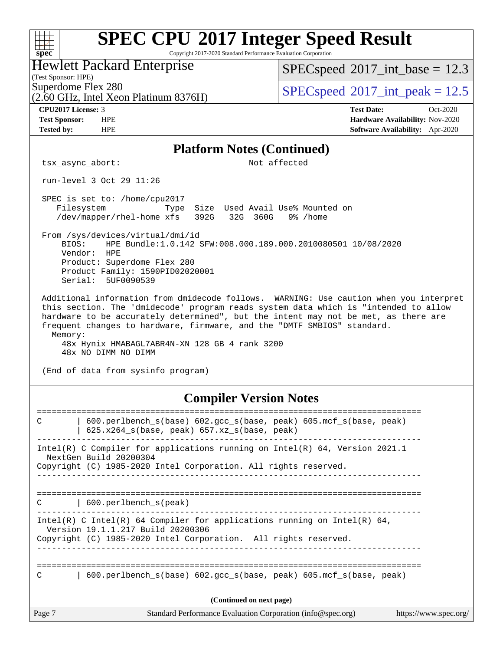#### **[SPEC CPU](http://www.spec.org/auto/cpu2017/Docs/result-fields.html#SPECCPU2017IntegerSpeedResult)[2017 Integer Speed Result](http://www.spec.org/auto/cpu2017/Docs/result-fields.html#SPECCPU2017IntegerSpeedResult)**  $+\ +$ **[spec](http://www.spec.org/)** Copyright 2017-2020 Standard Performance Evaluation Corporation Hewlett Packard Enterprise  $SPECspeed^{\circledcirc}2017\_int\_base = 12.3$  $SPECspeed^{\circledcirc}2017\_int\_base = 12.3$ (Test Sponsor: HPE) Superdome Flex 280<br>  $SPECspeed^{\circ}2017$  $SPECspeed^{\circ}2017$  int\_peak = 12.5 (2.60 GHz, Intel Xeon Platinum 8376H) **[CPU2017 License:](http://www.spec.org/auto/cpu2017/Docs/result-fields.html#CPU2017License)** 3 **[Test Date:](http://www.spec.org/auto/cpu2017/Docs/result-fields.html#TestDate)** Oct-2020 **[Test Sponsor:](http://www.spec.org/auto/cpu2017/Docs/result-fields.html#TestSponsor)** HPE **[Hardware Availability:](http://www.spec.org/auto/cpu2017/Docs/result-fields.html#HardwareAvailability)** Nov-2020 **[Tested by:](http://www.spec.org/auto/cpu2017/Docs/result-fields.html#Testedby)** HPE **[Software Availability:](http://www.spec.org/auto/cpu2017/Docs/result-fields.html#SoftwareAvailability)** Apr-2020 **[Platform Notes \(Continued\)](http://www.spec.org/auto/cpu2017/Docs/result-fields.html#PlatformNotes)** tsx\_async\_abort: Not affected run-level 3 Oct 29 11:26 SPEC is set to: /home/cpu2017 Filesystem Type Size Used Avail Use% Mounted on /dev/mapper/rhel-home xfs 392G 32G 360G 9% /home From /sys/devices/virtual/dmi/id BIOS: HPE Bundle:1.0.142 SFW:008.000.189.000.2010080501 10/08/2020 Vendor: HPE Product: Superdome Flex 280 Product Family: 1590PID02020001 Serial: 5UF0090539 Additional information from dmidecode follows. WARNING: Use caution when you interpret this section. The 'dmidecode' program reads system data which is "intended to allow hardware to be accurately determined", but the intent may not be met, as there are frequent changes to hardware, firmware, and the "DMTF SMBIOS" standard. Memory: 48x Hynix HMABAGL7ABR4N-XN 128 GB 4 rank 3200 48x NO DIMM NO DIMM (End of data from sysinfo program) **[Compiler Version Notes](http://www.spec.org/auto/cpu2017/Docs/result-fields.html#CompilerVersionNotes)** ============================================================================== C | 600.perlbench\_s(base) 602.gcc\_s(base, peak) 605.mcf\_s(base, peak) | 625.x264\_s(base, peak) 657.xz\_s(base, peak) ------------------------------------------------------------------------------ Intel(R) C Compiler for applications running on Intel(R) 64, Version 2021.1 NextGen Build 20200304 Copyright (C) 1985-2020 Intel Corporation. All rights reserved. ------------------------------------------------------------------------------ ============================================================================== C | 600.perlbench\_s(peak) ------------------------------------------------------------------------------ Intel(R) C Intel(R) 64 Compiler for applications running on Intel(R)  $64$ , Version 19.1.1.217 Build 20200306 Copyright (C) 1985-2020 Intel Corporation. All rights reserved. ------------------------------------------------------------------------------ ============================================================================== C | 600.perlbench\_s(base) 602.gcc\_s(base, peak) 605.mcf\_s(base, peak) **(Continued on next page)**Page 7 Standard Performance Evaluation Corporation [\(info@spec.org\)](mailto:info@spec.org) <https://www.spec.org/>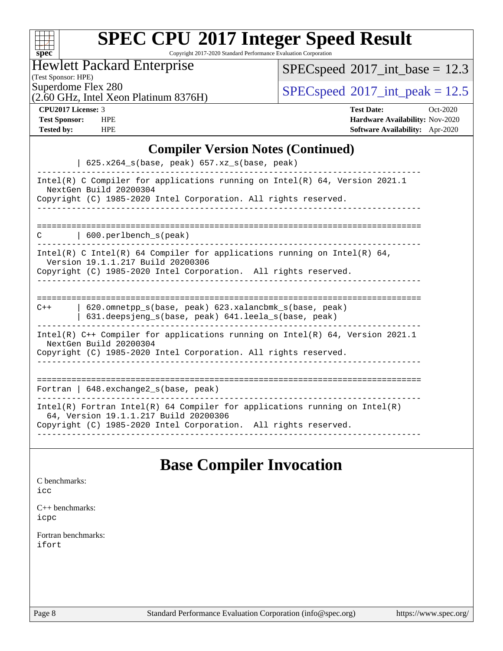| S<br>ve<br>۱<br>U |  |  |  |  |  |
|-------------------|--|--|--|--|--|

Copyright 2017-2020 Standard Performance Evaluation Corporation

## Hewlett Packard Enterprise

 $SPEC speed$ <sup>®</sup> $2017$ \_int\_base = 12.3

(Test Sponsor: HPE)

 $SPECspeed^{\circ}2017\_int\_peak = 12.5$  $SPECspeed^{\circ}2017\_int\_peak = 12.5$ 

(2.60 GHz, Intel Xeon Platinum 8376H)

**[CPU2017 License:](http://www.spec.org/auto/cpu2017/Docs/result-fields.html#CPU2017License)** 3 **[Test Date:](http://www.spec.org/auto/cpu2017/Docs/result-fields.html#TestDate)** Oct-2020 **[Test Sponsor:](http://www.spec.org/auto/cpu2017/Docs/result-fields.html#TestSponsor)** HPE **[Hardware Availability:](http://www.spec.org/auto/cpu2017/Docs/result-fields.html#HardwareAvailability)** Nov-2020 **[Tested by:](http://www.spec.org/auto/cpu2017/Docs/result-fields.html#Testedby)** HPE **[Software Availability:](http://www.spec.org/auto/cpu2017/Docs/result-fields.html#SoftwareAvailability)** Apr-2020

## **[Compiler Version Notes \(Continued\)](http://www.spec.org/auto/cpu2017/Docs/result-fields.html#CompilerVersionNotes)**

| $625.x264_s(base, peak)$ 657.xz <sub>_S</sub> (base, peak)                                                                                                                             |
|----------------------------------------------------------------------------------------------------------------------------------------------------------------------------------------|
| Intel(R) C Compiler for applications running on Intel(R) $64$ , Version 2021.1<br>NextGen Build 20200304<br>Copyright (C) 1985-2020 Intel Corporation. All rights reserved.            |
|                                                                                                                                                                                        |
| $600.$ perlbench s(peak)<br>C                                                                                                                                                          |
| Intel(R) C Intel(R) 64 Compiler for applications running on Intel(R) 64,<br>Version 19.1.1.217 Build 20200306<br>Copyright (C) 1985-2020 Intel Corporation. All rights reserved.       |
|                                                                                                                                                                                        |
| 620.omnetpp_s(base, peak) 623.xalancbmk_s(base, peak)<br>$C++$<br>631.deepsjeng_s(base, peak) 641.leela_s(base, peak)                                                                  |
| Intel(R) $C++$ Compiler for applications running on Intel(R) 64, Version 2021.1<br>NextGen Build 20200304<br>Copyright (C) 1985-2020 Intel Corporation. All rights reserved.           |
| -------------------------------                                                                                                                                                        |
| Fortran   $648$ . exchange2 $s$ (base, peak)                                                                                                                                           |
| Intel(R) Fortran Intel(R) 64 Compiler for applications running on Intel(R)<br>64, Version 19.1.1.217 Build 20200306<br>Copyright (C) 1985-2020 Intel Corporation. All rights reserved. |

## **[Base Compiler Invocation](http://www.spec.org/auto/cpu2017/Docs/result-fields.html#BaseCompilerInvocation)**

| C benchmarks:<br>icc         |  |  |
|------------------------------|--|--|
| $C++$ benchmarks:<br>icpc    |  |  |
| Fortran benchmarks:<br>ifort |  |  |
|                              |  |  |

 $C$  benchmarks: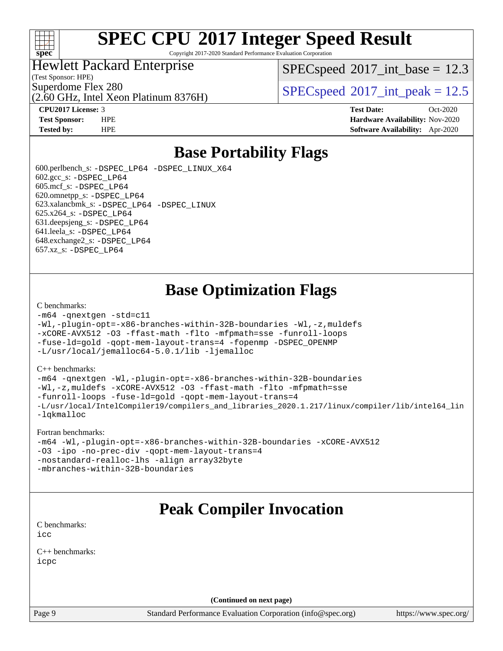

Copyright 2017-2020 Standard Performance Evaluation Corporation

## Hewlett Packard Enterprise

(Test Sponsor: HPE)

 $SPECspeed^{\circ}2017\_int\_base = 12.3$  $SPECspeed^{\circ}2017\_int\_base = 12.3$ 

Superdome Flex 280<br>  $SPECspeed*2017$  $SPECspeed*2017$ \_int\_peak = 12.5

(2.60 GHz, Intel Xeon Platinum 8376H)

**[CPU2017 License:](http://www.spec.org/auto/cpu2017/Docs/result-fields.html#CPU2017License)** 3 **[Test Date:](http://www.spec.org/auto/cpu2017/Docs/result-fields.html#TestDate)** Oct-2020 **[Test Sponsor:](http://www.spec.org/auto/cpu2017/Docs/result-fields.html#TestSponsor)** HPE **[Hardware Availability:](http://www.spec.org/auto/cpu2017/Docs/result-fields.html#HardwareAvailability)** Nov-2020 **[Tested by:](http://www.spec.org/auto/cpu2017/Docs/result-fields.html#Testedby)** HPE **[Software Availability:](http://www.spec.org/auto/cpu2017/Docs/result-fields.html#SoftwareAvailability)** Apr-2020

## **[Base Portability Flags](http://www.spec.org/auto/cpu2017/Docs/result-fields.html#BasePortabilityFlags)**

 600.perlbench\_s: [-DSPEC\\_LP64](http://www.spec.org/cpu2017/results/res2020q4/cpu2017-20201123-24425.flags.html#b600.perlbench_s_basePORTABILITY_DSPEC_LP64) [-DSPEC\\_LINUX\\_X64](http://www.spec.org/cpu2017/results/res2020q4/cpu2017-20201123-24425.flags.html#b600.perlbench_s_baseCPORTABILITY_DSPEC_LINUX_X64) 602.gcc\_s: [-DSPEC\\_LP64](http://www.spec.org/cpu2017/results/res2020q4/cpu2017-20201123-24425.flags.html#suite_basePORTABILITY602_gcc_s_DSPEC_LP64) 605.mcf\_s: [-DSPEC\\_LP64](http://www.spec.org/cpu2017/results/res2020q4/cpu2017-20201123-24425.flags.html#suite_basePORTABILITY605_mcf_s_DSPEC_LP64) 620.omnetpp\_s: [-DSPEC\\_LP64](http://www.spec.org/cpu2017/results/res2020q4/cpu2017-20201123-24425.flags.html#suite_basePORTABILITY620_omnetpp_s_DSPEC_LP64) 623.xalancbmk\_s: [-DSPEC\\_LP64](http://www.spec.org/cpu2017/results/res2020q4/cpu2017-20201123-24425.flags.html#suite_basePORTABILITY623_xalancbmk_s_DSPEC_LP64) [-DSPEC\\_LINUX](http://www.spec.org/cpu2017/results/res2020q4/cpu2017-20201123-24425.flags.html#b623.xalancbmk_s_baseCXXPORTABILITY_DSPEC_LINUX) 625.x264\_s: [-DSPEC\\_LP64](http://www.spec.org/cpu2017/results/res2020q4/cpu2017-20201123-24425.flags.html#suite_basePORTABILITY625_x264_s_DSPEC_LP64) 631.deepsjeng\_s: [-DSPEC\\_LP64](http://www.spec.org/cpu2017/results/res2020q4/cpu2017-20201123-24425.flags.html#suite_basePORTABILITY631_deepsjeng_s_DSPEC_LP64) 641.leela\_s: [-DSPEC\\_LP64](http://www.spec.org/cpu2017/results/res2020q4/cpu2017-20201123-24425.flags.html#suite_basePORTABILITY641_leela_s_DSPEC_LP64) 648.exchange2\_s: [-DSPEC\\_LP64](http://www.spec.org/cpu2017/results/res2020q4/cpu2017-20201123-24425.flags.html#suite_basePORTABILITY648_exchange2_s_DSPEC_LP64) 657.xz\_s: [-DSPEC\\_LP64](http://www.spec.org/cpu2017/results/res2020q4/cpu2017-20201123-24425.flags.html#suite_basePORTABILITY657_xz_s_DSPEC_LP64)

## **[Base Optimization Flags](http://www.spec.org/auto/cpu2017/Docs/result-fields.html#BaseOptimizationFlags)**

#### [C benchmarks](http://www.spec.org/auto/cpu2017/Docs/result-fields.html#Cbenchmarks):

```
-m64 -qnextgen -std=c11
-Wl,-plugin-opt=-x86-branches-within-32B-boundaries -Wl,-z,muldefs
-xCORE-AVX512 -O3 -ffast-math -flto -mfpmath=sse -funroll-loops
-fuse-ld=gold -qopt-mem-layout-trans=4 -fopenmp -DSPEC_OPENMP
-L/usr/local/jemalloc64-5.0.1/lib -ljemalloc
```
#### [C++ benchmarks:](http://www.spec.org/auto/cpu2017/Docs/result-fields.html#CXXbenchmarks)

[-m64](http://www.spec.org/cpu2017/results/res2020q4/cpu2017-20201123-24425.flags.html#user_CXXbase_m64-icc) [-qnextgen](http://www.spec.org/cpu2017/results/res2020q4/cpu2017-20201123-24425.flags.html#user_CXXbase_f-qnextgen) [-Wl,-plugin-opt=-x86-branches-within-32B-boundaries](http://www.spec.org/cpu2017/results/res2020q4/cpu2017-20201123-24425.flags.html#user_CXXbase_f-x86-branches-within-32B-boundaries_0098b4e4317ae60947b7b728078a624952a08ac37a3c797dfb4ffeb399e0c61a9dd0f2f44ce917e9361fb9076ccb15e7824594512dd315205382d84209e912f3) [-Wl,-z,muldefs](http://www.spec.org/cpu2017/results/res2020q4/cpu2017-20201123-24425.flags.html#user_CXXbase_link_force_multiple1_b4cbdb97b34bdee9ceefcfe54f4c8ea74255f0b02a4b23e853cdb0e18eb4525ac79b5a88067c842dd0ee6996c24547a27a4b99331201badda8798ef8a743f577) [-xCORE-AVX512](http://www.spec.org/cpu2017/results/res2020q4/cpu2017-20201123-24425.flags.html#user_CXXbase_f-xCORE-AVX512) [-O3](http://www.spec.org/cpu2017/results/res2020q4/cpu2017-20201123-24425.flags.html#user_CXXbase_f-O3) [-ffast-math](http://www.spec.org/cpu2017/results/res2020q4/cpu2017-20201123-24425.flags.html#user_CXXbase_f-ffast-math) [-flto](http://www.spec.org/cpu2017/results/res2020q4/cpu2017-20201123-24425.flags.html#user_CXXbase_f-flto) [-mfpmath=sse](http://www.spec.org/cpu2017/results/res2020q4/cpu2017-20201123-24425.flags.html#user_CXXbase_f-mfpmath_70eb8fac26bde974f8ab713bc9086c5621c0b8d2f6c86f38af0bd7062540daf19db5f3a066d8c6684be05d84c9b6322eb3b5be6619d967835195b93d6c02afa1) [-funroll-loops](http://www.spec.org/cpu2017/results/res2020q4/cpu2017-20201123-24425.flags.html#user_CXXbase_f-funroll-loops) [-fuse-ld=gold](http://www.spec.org/cpu2017/results/res2020q4/cpu2017-20201123-24425.flags.html#user_CXXbase_f-fuse-ld_920b3586e2b8c6e0748b9c84fa9b744736ba725a32cab14ad8f3d4ad28eecb2f59d1144823d2e17006539a88734fe1fc08fc3035f7676166309105a78aaabc32) [-qopt-mem-layout-trans=4](http://www.spec.org/cpu2017/results/res2020q4/cpu2017-20201123-24425.flags.html#user_CXXbase_f-qopt-mem-layout-trans_fa39e755916c150a61361b7846f310bcdf6f04e385ef281cadf3647acec3f0ae266d1a1d22d972a7087a248fd4e6ca390a3634700869573d231a252c784941a8) [-L/usr/local/IntelCompiler19/compilers\\_and\\_libraries\\_2020.1.217/linux/compiler/lib/intel64\\_lin](http://www.spec.org/cpu2017/results/res2020q4/cpu2017-20201123-24425.flags.html#user_CXXbase_linkpath_2cb6f503891ebf8baee7515f4e7d4ec1217444d1d05903cc0091ac4158de400651d2b2313a9fa414cb8a8f0e16ab029634f5c6db340f400369c190d4db8a54a0) [-lqkmalloc](http://www.spec.org/cpu2017/results/res2020q4/cpu2017-20201123-24425.flags.html#user_CXXbase_qkmalloc_link_lib_79a818439969f771c6bc311cfd333c00fc099dad35c030f5aab9dda831713d2015205805422f83de8875488a2991c0a156aaa600e1f9138f8fc37004abc96dc5)

#### [Fortran benchmarks:](http://www.spec.org/auto/cpu2017/Docs/result-fields.html#Fortranbenchmarks)

```
-m64 -Wl,-plugin-opt=-x86-branches-within-32B-boundaries -xCORE-AVX512
-O3 -ipo -no-prec-div -qopt-mem-layout-trans=4
-nostandard-realloc-lhs -align array32byte
-mbranches-within-32B-boundaries
```
## **[Peak Compiler Invocation](http://www.spec.org/auto/cpu2017/Docs/result-fields.html#PeakCompilerInvocation)**

[C benchmarks](http://www.spec.org/auto/cpu2017/Docs/result-fields.html#Cbenchmarks): [icc](http://www.spec.org/cpu2017/results/res2020q4/cpu2017-20201123-24425.flags.html#user_CCpeak_intel_icc_66fc1ee009f7361af1fbd72ca7dcefbb700085f36577c54f309893dd4ec40d12360134090235512931783d35fd58c0460139e722d5067c5574d8eaf2b3e37e92)

[C++ benchmarks:](http://www.spec.org/auto/cpu2017/Docs/result-fields.html#CXXbenchmarks) [icpc](http://www.spec.org/cpu2017/results/res2020q4/cpu2017-20201123-24425.flags.html#user_CXXpeak_intel_icpc_c510b6838c7f56d33e37e94d029a35b4a7bccf4766a728ee175e80a419847e808290a9b78be685c44ab727ea267ec2f070ec5dc83b407c0218cded6866a35d07)

**(Continued on next page)**

Page 9 Standard Performance Evaluation Corporation [\(info@spec.org\)](mailto:info@spec.org) <https://www.spec.org/>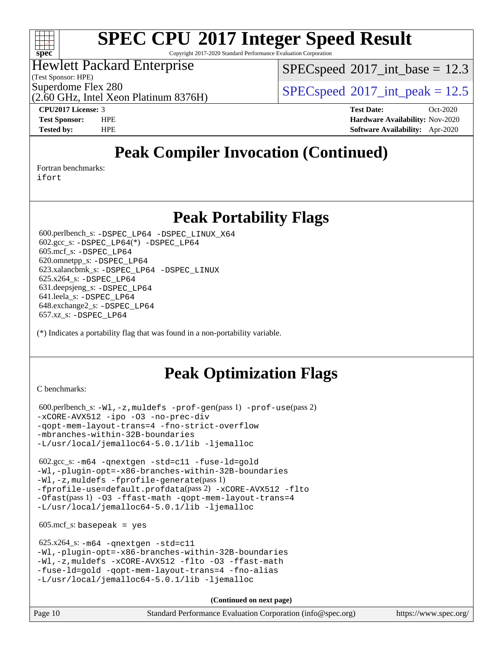

Copyright 2017-2020 Standard Performance Evaluation Corporation

## Hewlett Packard Enterprise

(Test Sponsor: HPE)

 $SPECspeed^{\circ}2017\_int\_base = 12.3$  $SPECspeed^{\circ}2017\_int\_base = 12.3$ 

Superdome Flex 280<br>  $SPECspeed*2017$  $SPECspeed*2017$ \_int\_peak = 12.5

(2.60 GHz, Intel Xeon Platinum 8376H)

**[CPU2017 License:](http://www.spec.org/auto/cpu2017/Docs/result-fields.html#CPU2017License)** 3 **[Test Date:](http://www.spec.org/auto/cpu2017/Docs/result-fields.html#TestDate)** Oct-2020 **[Test Sponsor:](http://www.spec.org/auto/cpu2017/Docs/result-fields.html#TestSponsor)** HPE **[Hardware Availability:](http://www.spec.org/auto/cpu2017/Docs/result-fields.html#HardwareAvailability)** Nov-2020 **[Tested by:](http://www.spec.org/auto/cpu2017/Docs/result-fields.html#Testedby)** HPE **[Software Availability:](http://www.spec.org/auto/cpu2017/Docs/result-fields.html#SoftwareAvailability)** Apr-2020

## **[Peak Compiler Invocation \(Continued\)](http://www.spec.org/auto/cpu2017/Docs/result-fields.html#PeakCompilerInvocation)**

[Fortran benchmarks](http://www.spec.org/auto/cpu2017/Docs/result-fields.html#Fortranbenchmarks):

[ifort](http://www.spec.org/cpu2017/results/res2020q4/cpu2017-20201123-24425.flags.html#user_FCpeak_intel_ifort_8111460550e3ca792625aed983ce982f94888b8b503583aa7ba2b8303487b4d8a21a13e7191a45c5fd58ff318f48f9492884d4413fa793fd88dd292cad7027ca)

## **[Peak Portability Flags](http://www.spec.org/auto/cpu2017/Docs/result-fields.html#PeakPortabilityFlags)**

 600.perlbench\_s: [-DSPEC\\_LP64](http://www.spec.org/cpu2017/results/res2020q4/cpu2017-20201123-24425.flags.html#b600.perlbench_s_peakPORTABILITY_DSPEC_LP64) [-DSPEC\\_LINUX\\_X64](http://www.spec.org/cpu2017/results/res2020q4/cpu2017-20201123-24425.flags.html#b600.perlbench_s_peakCPORTABILITY_DSPEC_LINUX_X64) 602.gcc\_s: [-DSPEC\\_LP64](http://www.spec.org/cpu2017/results/res2020q4/cpu2017-20201123-24425.flags.html#suite_peakCCLD602_gcc_s_DSPEC_LP64)(\*) [-DSPEC\\_LP64](http://www.spec.org/cpu2017/results/res2020q4/cpu2017-20201123-24425.flags.html#suite_peakPORTABILITY602_gcc_s_DSPEC_LP64) 605.mcf\_s: [-DSPEC\\_LP64](http://www.spec.org/cpu2017/results/res2020q4/cpu2017-20201123-24425.flags.html#suite_peakPORTABILITY605_mcf_s_DSPEC_LP64) 620.omnetpp\_s: [-DSPEC\\_LP64](http://www.spec.org/cpu2017/results/res2020q4/cpu2017-20201123-24425.flags.html#suite_peakPORTABILITY620_omnetpp_s_DSPEC_LP64) 623.xalancbmk\_s: [-DSPEC\\_LP64](http://www.spec.org/cpu2017/results/res2020q4/cpu2017-20201123-24425.flags.html#suite_peakPORTABILITY623_xalancbmk_s_DSPEC_LP64) [-DSPEC\\_LINUX](http://www.spec.org/cpu2017/results/res2020q4/cpu2017-20201123-24425.flags.html#b623.xalancbmk_s_peakCXXPORTABILITY_DSPEC_LINUX) 625.x264\_s: [-DSPEC\\_LP64](http://www.spec.org/cpu2017/results/res2020q4/cpu2017-20201123-24425.flags.html#suite_peakPORTABILITY625_x264_s_DSPEC_LP64) 631.deepsjeng\_s: [-DSPEC\\_LP64](http://www.spec.org/cpu2017/results/res2020q4/cpu2017-20201123-24425.flags.html#suite_peakPORTABILITY631_deepsjeng_s_DSPEC_LP64) 641.leela\_s: [-DSPEC\\_LP64](http://www.spec.org/cpu2017/results/res2020q4/cpu2017-20201123-24425.flags.html#suite_peakPORTABILITY641_leela_s_DSPEC_LP64) 648.exchange2\_s: [-DSPEC\\_LP64](http://www.spec.org/cpu2017/results/res2020q4/cpu2017-20201123-24425.flags.html#suite_peakPORTABILITY648_exchange2_s_DSPEC_LP64) 657.xz\_s: [-DSPEC\\_LP64](http://www.spec.org/cpu2017/results/res2020q4/cpu2017-20201123-24425.flags.html#suite_peakPORTABILITY657_xz_s_DSPEC_LP64)

(\*) Indicates a portability flag that was found in a non-portability variable.

## **[Peak Optimization Flags](http://www.spec.org/auto/cpu2017/Docs/result-fields.html#PeakOptimizationFlags)**

[C benchmarks](http://www.spec.org/auto/cpu2017/Docs/result-fields.html#Cbenchmarks):

```
 600.perlbench_s: -Wl,-z,muldefs -prof-gen(pass 1) -prof-use(pass 2)
-xCORE-AVX512 -ipo -O3 -no-prec-div
-qopt-mem-layout-trans=4 -fno-strict-overflow
-mbranches-within-32B-boundaries
-L/usr/local/jemalloc64-5.0.1/lib -ljemalloc
```
 602.gcc\_s: [-m64](http://www.spec.org/cpu2017/results/res2020q4/cpu2017-20201123-24425.flags.html#user_peakCCLD602_gcc_s_m64-icc) [-qnextgen](http://www.spec.org/cpu2017/results/res2020q4/cpu2017-20201123-24425.flags.html#user_peakCCLD602_gcc_s_f-qnextgen) [-std=c11](http://www.spec.org/cpu2017/results/res2020q4/cpu2017-20201123-24425.flags.html#user_peakCCLD602_gcc_s_std-icc-std_0e1c27790398a4642dfca32ffe6c27b5796f9c2d2676156f2e42c9c44eaad0c049b1cdb667a270c34d979996257aeb8fc440bfb01818dbc9357bd9d174cb8524) [-fuse-ld=gold](http://www.spec.org/cpu2017/results/res2020q4/cpu2017-20201123-24425.flags.html#user_peakCCLD602_gcc_s_f-fuse-ld_920b3586e2b8c6e0748b9c84fa9b744736ba725a32cab14ad8f3d4ad28eecb2f59d1144823d2e17006539a88734fe1fc08fc3035f7676166309105a78aaabc32) [-Wl,-plugin-opt=-x86-branches-within-32B-boundaries](http://www.spec.org/cpu2017/results/res2020q4/cpu2017-20201123-24425.flags.html#user_peakLDFLAGS602_gcc_s_f-x86-branches-within-32B-boundaries_0098b4e4317ae60947b7b728078a624952a08ac37a3c797dfb4ffeb399e0c61a9dd0f2f44ce917e9361fb9076ccb15e7824594512dd315205382d84209e912f3) [-Wl,-z,muldefs](http://www.spec.org/cpu2017/results/res2020q4/cpu2017-20201123-24425.flags.html#user_peakEXTRA_LDFLAGS602_gcc_s_link_force_multiple1_b4cbdb97b34bdee9ceefcfe54f4c8ea74255f0b02a4b23e853cdb0e18eb4525ac79b5a88067c842dd0ee6996c24547a27a4b99331201badda8798ef8a743f577) [-fprofile-generate](http://www.spec.org/cpu2017/results/res2020q4/cpu2017-20201123-24425.flags.html#user_peakPASS1_CFLAGSPASS1_LDFLAGS602_gcc_s_fprofile-generate)(pass 1) [-fprofile-use=default.profdata](http://www.spec.org/cpu2017/results/res2020q4/cpu2017-20201123-24425.flags.html#user_peakPASS2_CFLAGSPASS2_LDFLAGS602_gcc_s_fprofile-use_56aeee182b92ec249f9670f17c9b8e7d83fe2d25538e35a2cf64c434b579a2235a8b8fc66ef5678d24461366bbab9d486c870d8a72905233fc08e43eefe3cd80)(pass 2) [-xCORE-AVX512](http://www.spec.org/cpu2017/results/res2020q4/cpu2017-20201123-24425.flags.html#user_peakCOPTIMIZEPASS1_CFLAGSPASS1_LDFLAGS602_gcc_s_f-xCORE-AVX512) [-flto](http://www.spec.org/cpu2017/results/res2020q4/cpu2017-20201123-24425.flags.html#user_peakCOPTIMIZEPASS1_CFLAGSPASS1_LDFLAGS602_gcc_s_f-flto) [-Ofast](http://www.spec.org/cpu2017/results/res2020q4/cpu2017-20201123-24425.flags.html#user_peakPASS1_CFLAGSPASS1_LDFLAGS602_gcc_s_f-Ofast)(pass 1) [-O3](http://www.spec.org/cpu2017/results/res2020q4/cpu2017-20201123-24425.flags.html#user_peakCOPTIMIZE602_gcc_s_f-O3) [-ffast-math](http://www.spec.org/cpu2017/results/res2020q4/cpu2017-20201123-24425.flags.html#user_peakCOPTIMIZE602_gcc_s_f-ffast-math) [-qopt-mem-layout-trans=4](http://www.spec.org/cpu2017/results/res2020q4/cpu2017-20201123-24425.flags.html#user_peakCOPTIMIZE602_gcc_s_f-qopt-mem-layout-trans_fa39e755916c150a61361b7846f310bcdf6f04e385ef281cadf3647acec3f0ae266d1a1d22d972a7087a248fd4e6ca390a3634700869573d231a252c784941a8) [-L/usr/local/jemalloc64-5.0.1/lib](http://www.spec.org/cpu2017/results/res2020q4/cpu2017-20201123-24425.flags.html#user_peakEXTRA_LIBS602_gcc_s_jemalloc_link_path64_1_cc289568b1a6c0fd3b62c91b824c27fcb5af5e8098e6ad028160d21144ef1b8aef3170d2acf0bee98a8da324cfe4f67d0a3d0c4cc4673d993d694dc2a0df248b) [-ljemalloc](http://www.spec.org/cpu2017/results/res2020q4/cpu2017-20201123-24425.flags.html#user_peakEXTRA_LIBS602_gcc_s_jemalloc_link_lib_d1249b907c500fa1c0672f44f562e3d0f79738ae9e3c4a9c376d49f265a04b9c99b167ecedbf6711b3085be911c67ff61f150a17b3472be731631ba4d0471706)

 $605.\text{mcf}\text{ s}:$  basepeak = yes

```
 625.x264_s: -m64 -qnextgen -std=c11
-Wl,-plugin-opt=-x86-branches-within-32B-boundaries
-Wl,-z,muldefs -xCORE-AVX512 -flto -O3 -ffast-math
-fuse-ld=gold -qopt-mem-layout-trans=4 -fno-alias
-L/usr/local/jemalloc64-5.0.1/lib -ljemalloc
```
**(Continued on next page)**